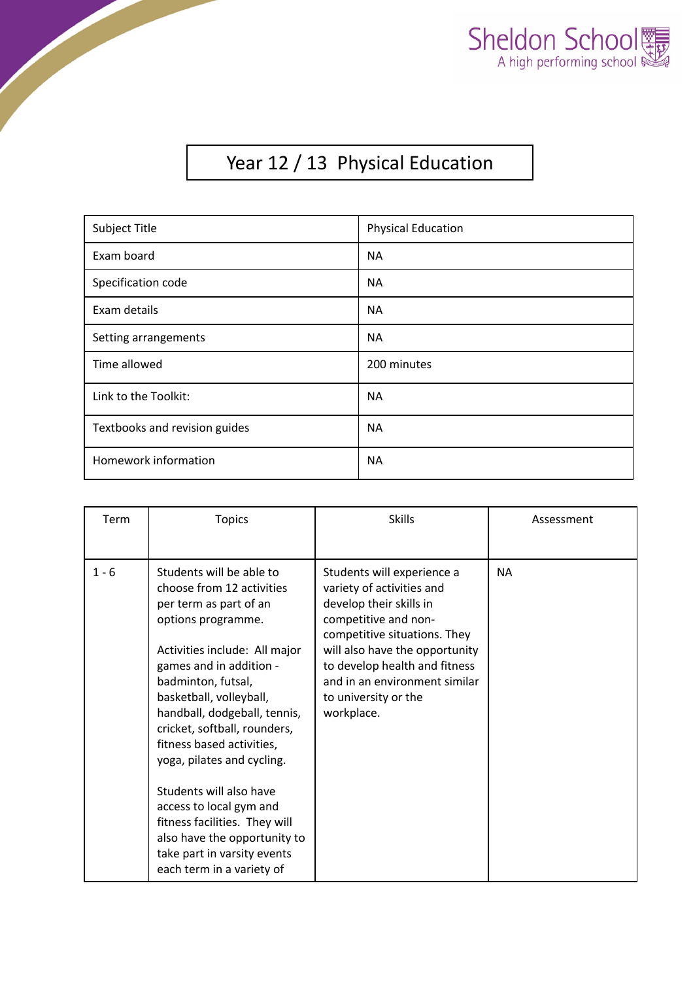

## Year 12 / 13 Physical Education

| Subject Title                 | <b>Physical Education</b> |
|-------------------------------|---------------------------|
| Exam board                    | <b>NA</b>                 |
| Specification code            | <b>NA</b>                 |
| Exam details                  | <b>NA</b>                 |
| Setting arrangements          | <b>NA</b>                 |
| Time allowed                  | 200 minutes               |
| Link to the Toolkit:          | <b>NA</b>                 |
| Textbooks and revision guides | <b>NA</b>                 |
| Homework information          | <b>NA</b>                 |

| Term    | <b>Topics</b>                                                                                                                                                                                                                                                                                                                                                                                                                                                                                                                    | <b>Skills</b>                                                                                                                                                                                                                                                                        | Assessment |
|---------|----------------------------------------------------------------------------------------------------------------------------------------------------------------------------------------------------------------------------------------------------------------------------------------------------------------------------------------------------------------------------------------------------------------------------------------------------------------------------------------------------------------------------------|--------------------------------------------------------------------------------------------------------------------------------------------------------------------------------------------------------------------------------------------------------------------------------------|------------|
| $1 - 6$ | Students will be able to<br>choose from 12 activities<br>per term as part of an<br>options programme.<br>Activities include: All major<br>games and in addition -<br>badminton, futsal,<br>basketball, volleyball,<br>handball, dodgeball, tennis,<br>cricket, softball, rounders,<br>fitness based activities,<br>yoga, pilates and cycling.<br>Students will also have<br>access to local gym and<br>fitness facilities. They will<br>also have the opportunity to<br>take part in varsity events<br>each term in a variety of | Students will experience a<br>variety of activities and<br>develop their skills in<br>competitive and non-<br>competitive situations. They<br>will also have the opportunity<br>to develop health and fitness<br>and in an environment similar<br>to university or the<br>workplace. | <b>NA</b>  |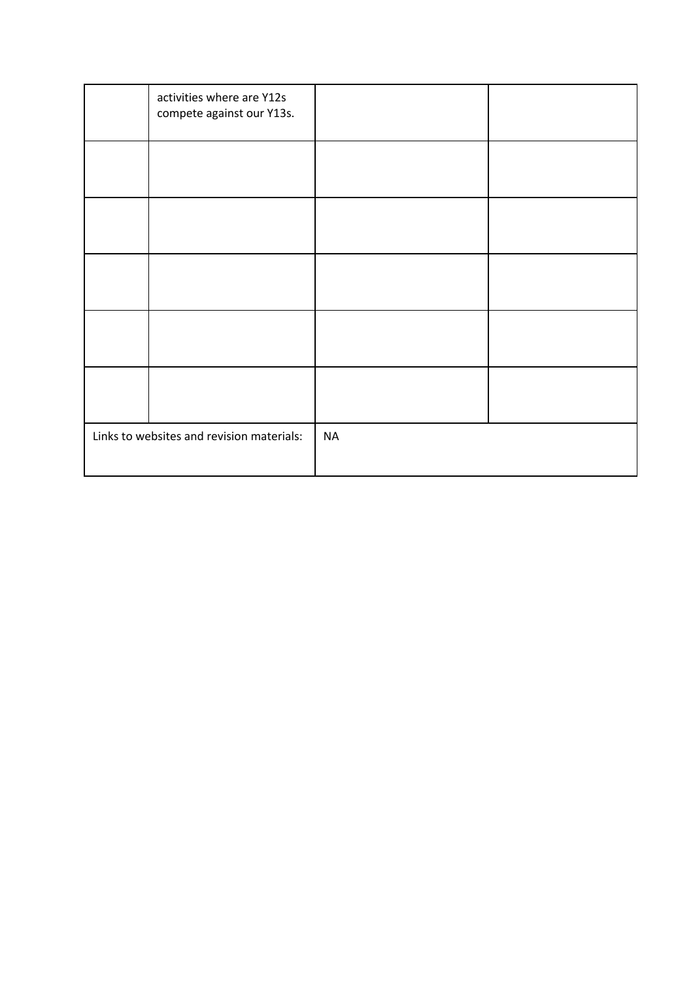| activities where are Y12s<br>compete against our Y13s. |           |  |
|--------------------------------------------------------|-----------|--|
|                                                        |           |  |
|                                                        |           |  |
|                                                        |           |  |
|                                                        |           |  |
|                                                        |           |  |
| Links to websites and revision materials:              | <b>NA</b> |  |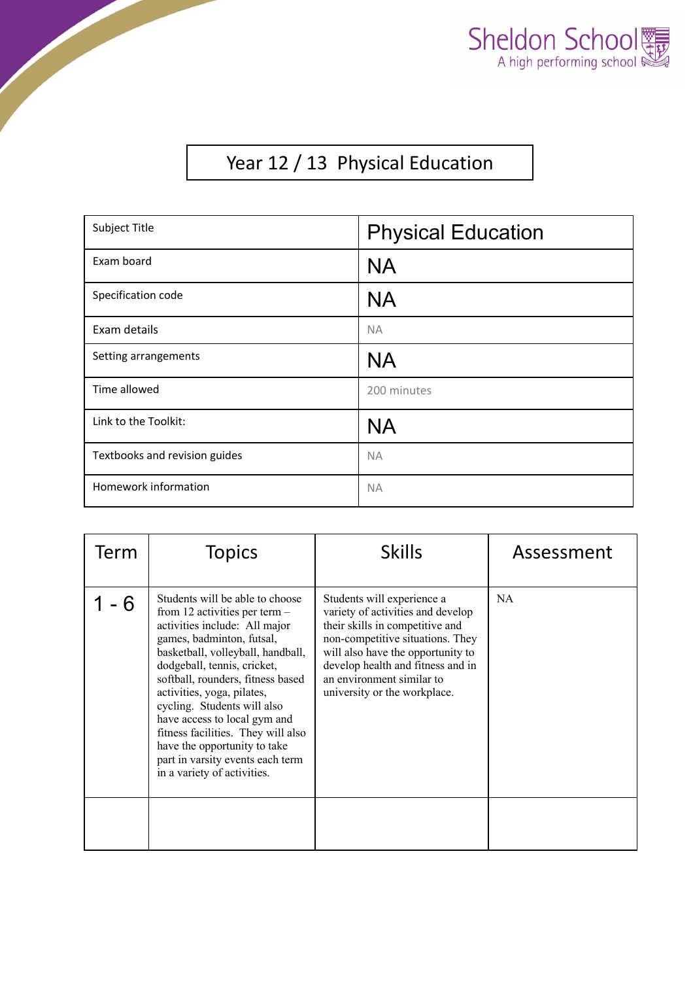

## Year 12 / 13 Physical Education

| Subject Title                 | <b>Physical Education</b> |
|-------------------------------|---------------------------|
| Exam board                    | <b>NA</b>                 |
| Specification code            | <b>NA</b>                 |
| Exam details                  | <b>NA</b>                 |
| Setting arrangements          | <b>NA</b>                 |
| Time allowed                  | 200 minutes               |
| Link to the Toolkit:          | <b>NA</b>                 |
| Textbooks and revision guides | <b>NA</b>                 |
| Homework information          | <b>NA</b>                 |

| Term | <b>Topics</b>                                                                                                                                                                                                                                                                                                                                                                                                                                                                   | <b>Skills</b>                                                                                                                                                                                                                                                                 | Assessment |
|------|---------------------------------------------------------------------------------------------------------------------------------------------------------------------------------------------------------------------------------------------------------------------------------------------------------------------------------------------------------------------------------------------------------------------------------------------------------------------------------|-------------------------------------------------------------------------------------------------------------------------------------------------------------------------------------------------------------------------------------------------------------------------------|------------|
| 6    | Students will be able to choose<br>from 12 activities per term $-$<br>activities include: All major<br>games, badminton, futsal,<br>basketball, volleyball, handball,<br>dodgeball, tennis, cricket,<br>softball, rounders, fitness based<br>activities, yoga, pilates,<br>cycling. Students will also<br>have access to local gym and<br>fitness facilities. They will also<br>have the opportunity to take<br>part in varsity events each term<br>in a variety of activities. | Students will experience a<br>variety of activities and develop<br>their skills in competitive and<br>non-competitive situations. They<br>will also have the opportunity to<br>develop health and fitness and in<br>an environment similar to<br>university or the workplace. | NA.        |
|      |                                                                                                                                                                                                                                                                                                                                                                                                                                                                                 |                                                                                                                                                                                                                                                                               |            |